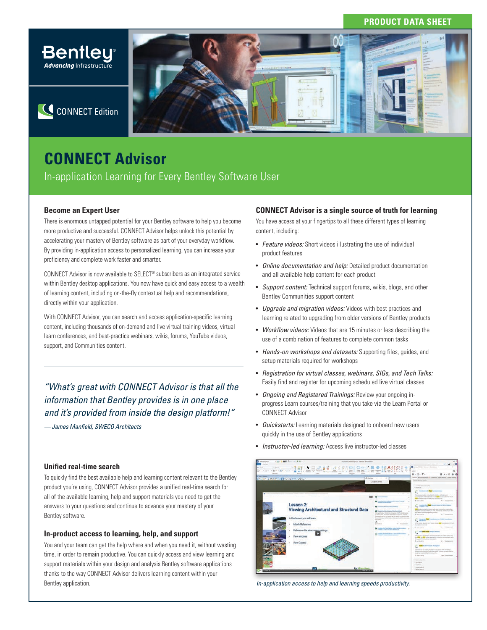# **PRODUCT DATA SHEET**



C CONNECT Edition

# **CONNECT Advisor**

In-application Learning for Every Bentley Software User

# **Become an Expert User**

There is enormous untapped potential for your Bentley software to help you become more productive and successful. CONNECT Advisor helps unlock this potential by accelerating your mastery of Bentley software as part of your everyday workflow. By providing in-application access to personalized learning, you can increase your proficiency and complete work faster and smarter.

CONNECT Advisor is now available to SELECT® subscribers as an integrated service within Bentley desktop applications. You now have quick and easy access to a wealth of learning content, including on-the-fly contextual help and recommendations, directly within your application.

With CONNECT Advisor, you can search and access application-specific learning content, including thousands of on-demand and live virtual training videos, virtual learn conferences, and best-practice webinars, wikis, forums, YouTube videos, support, and Communities content.

*"What's great with CONNECT Advisor is that all the information that Bentley provides is in one place and it's provided from inside the design platform!"*

*— James Manfield, SWECO Architects*

# **Unified real-time search**

To quickly find the best available help and learning content relevant to the Bentley product you're using, CONNECT Advisor provides a unified real-time search for all of the available learning, help and support materials you need to get the answers to your questions and continue to advance your mastery of your Bentley software.

# **In-product access to learning, help, and support**

You and your team can get the help where and when you need it, without wasting time, in order to remain productive. You can quickly access and view learning and support materials within your design and analysis Bentley software applications thanks to the way CONNECT Advisor delivers learning content within your Bentley application.

# **CONNECT Advisor is a single source of truth for learning**

You have access at your fingertips to all these different types of learning content, including:

- *Feature videos:* Short videos illustrating the use of individual product features
- *Online documentation and help:* Detailed product documentation and all available help content for each product
- *Support content:* Technical support forums, wikis, blogs, and other Bentley Communities support content
- *Upgrade and migration videos:* Videos with best practices and learning related to upgrading from older versions of Bentley products
- *Workflow videos:* Videos that are 15 minutes or less describing the use of a combination of features to complete common tasks
- *Hands-on workshops and datasets:* Supporting files, guides, and setup materials required for workshops
- *Registration for virtual classes, webinars, SIGs, and Tech Talks:*  Easily find and register for upcoming scheduled live virtual classes
- *Ongoing and Registered Trainings:* Review your ongoing inprogress Learn courses/training that you take via the Learn Portal or CONNECT Advisor
- *Quickstarts:* Learning materials designed to onboard new users quickly in the use of Bentley applications
- *Instructor-led learning:* Access live instructor-led classes



 *In-application access to help and learning speeds productivity.*